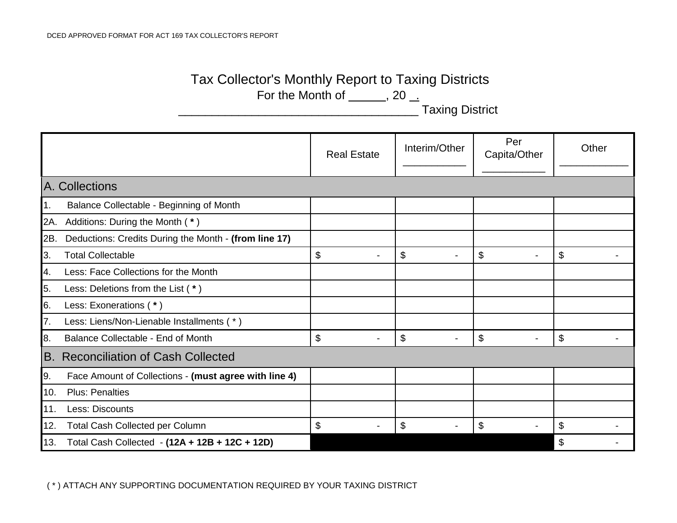|                                                | Tax Collector's Monthly Report to Taxing Districts<br>For the Month of $\_\_\_\_$ , 20 $\_\_\_\$<br><b>Taxing District</b> |                                |                      |                         |                           |  |
|------------------------------------------------|----------------------------------------------------------------------------------------------------------------------------|--------------------------------|----------------------|-------------------------|---------------------------|--|
|                                                |                                                                                                                            | <b>Real Estate</b>             | Interim/Other        | Per<br>Capita/Other     | Other                     |  |
| A. Collections                                 |                                                                                                                            |                                |                      |                         |                           |  |
| 1.                                             | Balance Collectable - Beginning of Month                                                                                   |                                |                      |                         |                           |  |
|                                                | 2A. Additions: During the Month (*)                                                                                        |                                |                      |                         |                           |  |
| 2B.                                            | Deductions: Credits During the Month - (from line 17)                                                                      |                                |                      |                         |                           |  |
| 3.                                             | <b>Total Collectable</b>                                                                                                   | \$                             | \$                   | \$<br>$\blacksquare$    | \$                        |  |
| 4.                                             | Less: Face Collections for the Month                                                                                       |                                |                      |                         |                           |  |
| 5.                                             | Less: Deletions from the List (*)                                                                                          |                                |                      |                         |                           |  |
| 6.                                             | Less: Exonerations (*)                                                                                                     |                                |                      |                         |                           |  |
| 7.                                             | Less: Liens/Non-Lienable Installments (*)                                                                                  |                                |                      |                         |                           |  |
| 8.                                             | Balance Collectable - End of Month                                                                                         | \$<br>$\overline{\phantom{a}}$ | \$<br>$\blacksquare$ | $\$\$<br>$\blacksquare$ | \$                        |  |
| <b>Reconciliation of Cash Collected</b><br>IB. |                                                                                                                            |                                |                      |                         |                           |  |
| 9.                                             | Face Amount of Collections - (must agree with line 4)                                                                      |                                |                      |                         |                           |  |
| 10.                                            | <b>Plus: Penalties</b>                                                                                                     |                                |                      |                         |                           |  |
| 11.                                            | Less: Discounts                                                                                                            |                                |                      |                         |                           |  |
| 12.                                            | Total Cash Collected per Column                                                                                            | \$                             | \$                   | \$                      | \$                        |  |
|                                                | 13. Total Cash Collected - (12A + 12B + 12C + 12D)                                                                         |                                |                      |                         | $\boldsymbol{\mathsf{S}}$ |  |

( \* ) ATTACH ANY SUPPORTING DOCUMENTATION REQUIRED BY YOUR TAXING DISTRICT